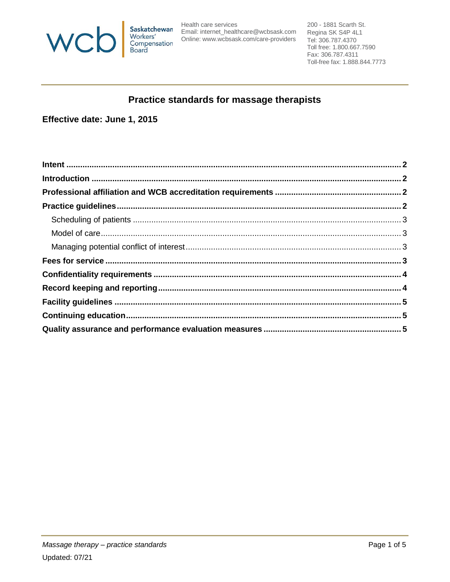

Saskatchewan<br>
Email: internet\_healthcare@wcbsask.com<br>
Workers' Online: www.wcbsask.com/care-providers<br>
Board<br>
Board

200 - 1881 Scarth St. Regina SK S4P 4L1 Tel: 306.787.4370 Toll free: 1.800.667.7590 Fax: 306.787.4311 Toll-free fax: 1.888.844.7773

# Practice standards for massage therapists

Effective date: June 1, 2015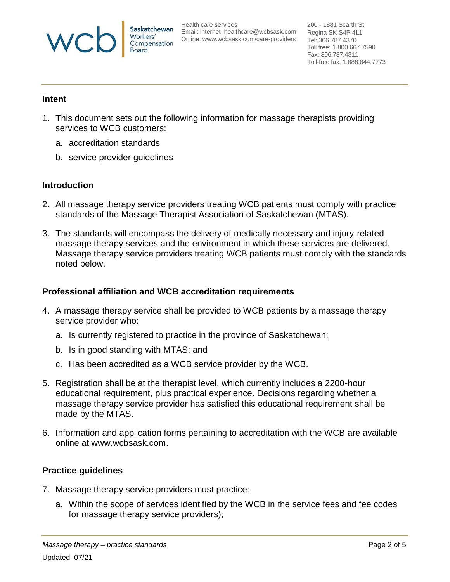

Health care services Email: [internet\\_healthcare@wcbsask.com](mailto:internet_healthcare@wcbsask.com) Online: [www.wcbsask.com/care-providers](http://www.wcbsask.com/care-providers)

200 - 1881 Scarth St. Regina SK S4P 4L1 Tel: 306.787.4370 Toll free: 1.800.667.7590 Fax: 306.787.4311 Toll-free fax: 1.888.844.7773

## <span id="page-1-0"></span>**Intent**

- 1. This document sets out the following information for massage therapists providing services to WCB customers:
	- a. accreditation standards
	- b. service provider guidelines

# <span id="page-1-1"></span>**Introduction**

- 2. All massage therapy service providers treating WCB patients must comply with practice standards of the Massage Therapist Association of Saskatchewan (MTAS).
- 3. The standards will encompass the delivery of medically necessary and injury-related massage therapy services and the environment in which these services are delivered. Massage therapy service providers treating WCB patients must comply with the standards noted below.

# <span id="page-1-2"></span>**Professional affiliation and WCB accreditation requirements**

- 4. A massage therapy service shall be provided to WCB patients by a massage therapy service provider who:
	- a. Is currently registered to practice in the province of Saskatchewan;
	- b. Is in good standing with MTAS; and
	- c. Has been accredited as a WCB service provider by the WCB.
- 5. Registration shall be at the therapist level, which currently includes a 2200-hour educational requirement, plus practical experience. Decisions regarding whether a massage therapy service provider has satisfied this educational requirement shall be made by the MTAS.
- 6. Information and application forms pertaining to accreditation with the WCB are available online at www.wcbsask.com.

# <span id="page-1-3"></span>**Practice guidelines**

- 7. Massage therapy service providers must practice:
	- a. Within the scope of services identified by the WCB in the service fees and fee codes for massage therapy service providers);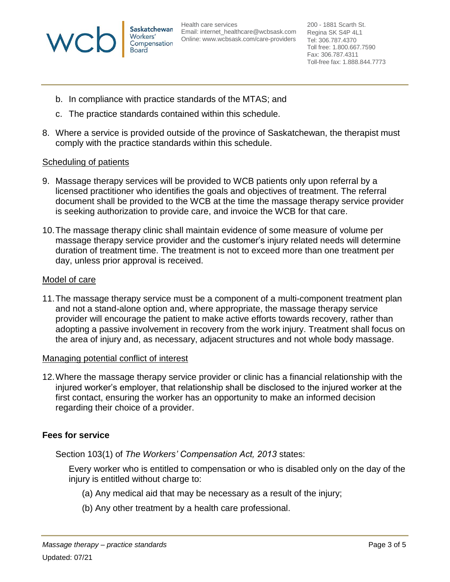

Health care services Email: [internet\\_healthcare@wcbsask.com](mailto:internet_healthcare@wcbsask.com) Online: [www.wcbsask.com/care-providers](http://www.wcbsask.com/care-providers)

200 - 1881 Scarth St. Regina SK S4P 4L1 Tel: 306.787.4370 Toll free: 1.800.667.7590 Fax: 306.787.4311 Toll-free fax: 1.888.844.7773

- b. In compliance with practice standards of the MTAS; and
- c. The practice standards contained within this schedule.
- 8. Where a service is provided outside of the province of Saskatchewan, the therapist must comply with the practice standards within this schedule.

## <span id="page-2-0"></span>Scheduling of patients

- 9. Massage therapy services will be provided to WCB patients only upon referral by a licensed practitioner who identifies the goals and objectives of treatment. The referral document shall be provided to the WCB at the time the massage therapy service provider is seeking authorization to provide care, and invoice the WCB for that care.
- 10.The massage therapy clinic shall maintain evidence of some measure of volume per massage therapy service provider and the customer's injury related needs will determine duration of treatment time. The treatment is not to exceed more than one treatment per day, unless prior approval is received.

#### <span id="page-2-1"></span>Model of care

11.The massage therapy service must be a component of a multi-component treatment plan and not a stand-alone option and, where appropriate, the massage therapy service provider will encourage the patient to make active efforts towards recovery, rather than adopting a passive involvement in recovery from the work injury. Treatment shall focus on the area of injury and, as necessary, adjacent structures and not whole body massage.

#### <span id="page-2-2"></span>Managing potential conflict of interest

12.Where the massage therapy service provider or clinic has a financial relationship with the injured worker's employer, that relationship shall be disclosed to the injured worker at the first contact, ensuring the worker has an opportunity to make an informed decision regarding their choice of a provider.

#### <span id="page-2-3"></span>**Fees for service**

Section 103(1) of *The Workers' Compensation Act, 2013* states:

Every worker who is entitled to compensation or who is disabled only on the day of the injury is entitled without charge to:

- (a) Any medical aid that may be necessary as a result of the injury;
- (b) Any other treatment by a health care professional.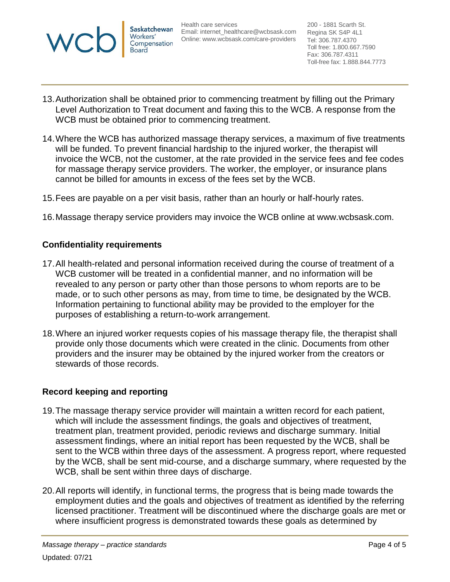

Health care services Email: [internet\\_healthcare@wcbsask.com](mailto:internet_healthcare@wcbsask.com) Online: [www.wcbsask.com/care-providers](http://www.wcbsask.com/care-providers)

200 - 1881 Scarth St. Regina SK S4P 4L1 Tel: 306.787.4370 Toll free: 1.800.667.7590 Fax: 306.787.4311 Toll-free fax: 1.888.844.7773

- 13.Authorization shall be obtained prior to commencing treatment by filling out the Primary Level Authorization to Treat document and faxing this to the WCB. A response from the WCB must be obtained prior to commencing treatment.
- 14.Where the WCB has authorized massage therapy services, a maximum of five treatments will be funded. To prevent financial hardship to the injured worker, the therapist will invoice the WCB, not the customer, at the rate provided in the service fees and fee codes for massage therapy service providers. The worker, the employer, or insurance plans cannot be billed for amounts in excess of the fees set by the WCB.
- 15.Fees are payable on a per visit basis, rather than an hourly or half-hourly rates.
- <span id="page-3-0"></span>16.Massage therapy service providers may invoice the WCB online at www.wcbsask.com.

## **Confidentiality requirements**

- 17.All health-related and personal information received during the course of treatment of a WCB customer will be treated in a confidential manner, and no information will be revealed to any person or party other than those persons to whom reports are to be made, or to such other persons as may, from time to time, be designated by the WCB. Information pertaining to functional ability may be provided to the employer for the purposes of establishing a return-to-work arrangement.
- 18.Where an injured worker requests copies of his massage therapy file, the therapist shall provide only those documents which were created in the clinic. Documents from other providers and the insurer may be obtained by the injured worker from the creators or stewards of those records.

#### <span id="page-3-1"></span>**Record keeping and reporting**

- 19.The massage therapy service provider will maintain a written record for each patient, which will include the assessment findings, the goals and objectives of treatment, treatment plan, treatment provided, periodic reviews and discharge summary. Initial assessment findings, where an initial report has been requested by the WCB, shall be sent to the WCB within three days of the assessment. A progress report, where requested by the WCB, shall be sent mid-course, and a discharge summary, where requested by the WCB, shall be sent within three days of discharge.
- 20.All reports will identify, in functional terms, the progress that is being made towards the employment duties and the goals and objectives of treatment as identified by the referring licensed practitioner. Treatment will be discontinued where the discharge goals are met or where insufficient progress is demonstrated towards these goals as determined by